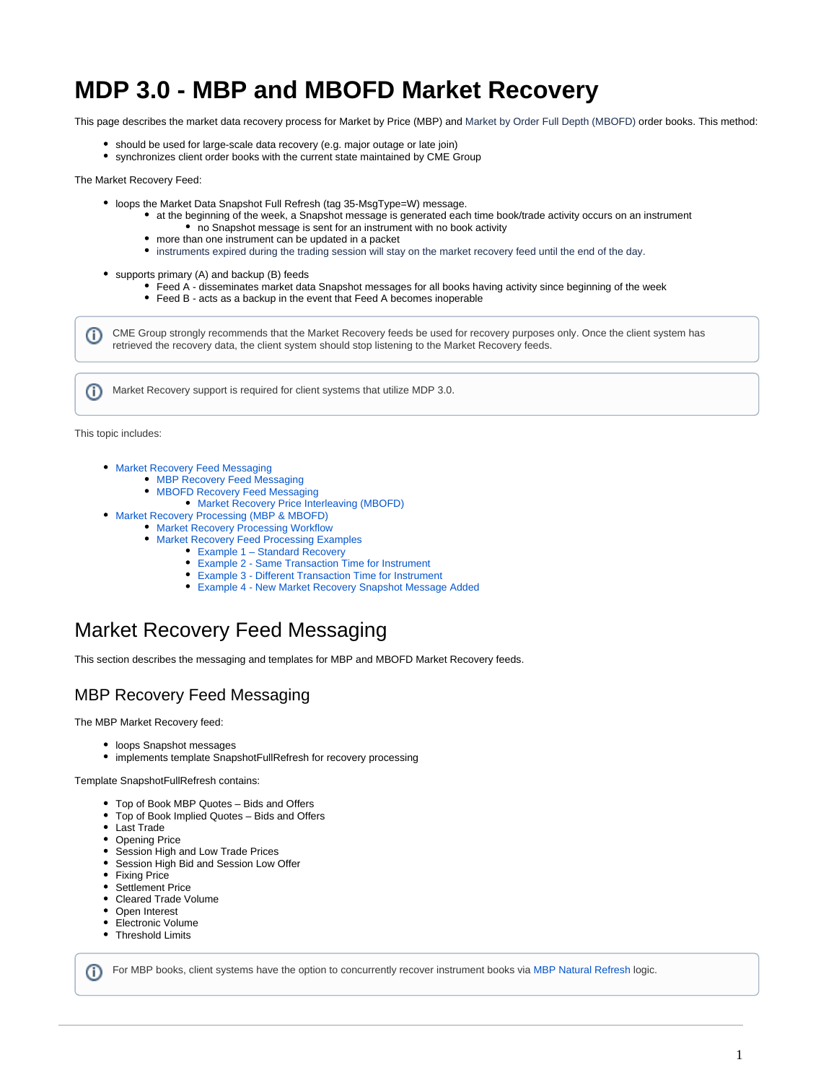# **MDP 3.0 - MBP and MBOFD Market Recovery**

This page describes the market data recovery process for Market by Price (MBP) and Market by Order Full Depth (MBOFD) order books. This method:

- should be used for large-scale data recovery (e.g. major outage or late join)
- synchronizes client order books with the current state maintained by CME Group

#### The Market Recovery Feed:

- loops the Market Data Snapshot Full Refresh (tag 35-MsgType=W) message.
	- at the beginning of the week, a Snapshot message is generated each time book/trade activity occurs on an instrument • no Snapshot message is sent for an instrument with no book activity
		- more than one instrument can be updated in a packet
		- instruments expired during the trading session will stay on the market recovery feed until the end of the day.  $\bullet$
- supports primary (A) and backup (B) feeds
	- Feed A disseminates market data Snapshot messages for all books having activity since beginning of the week
	- Feed B acts as a backup in the event that Feed A becomes inoperable

CME Group strongly recommends that the Market Recovery feeds be used for recovery purposes only. Once the client system has retrieved the recovery data, the client system should stop listening to the Market Recovery feeds.

Market Recovery support is required for client systems that utilize MDP 3.0.

This topic includes:

ന

ന

- **[Market Recovery Feed Messaging](#page-0-0)** 
	- [MBP Recovery Feed Messaging](#page-0-1)
		- [MBOFD Recovery Feed Messaging](#page-0-2)
			- [Market Recovery Price Interleaving \(MBOFD\)](#page-1-0)
- [Market Recovery Processing \(MBP & MBOFD\)](#page-2-0)
	- **[Market Recovery Processing Workflow](#page-2-1)**
	- [Market Recovery Feed Processing Examples](#page-3-0)
		- [Example 1 Standard Recovery](#page-3-1)
		- [Example 2 Same Transaction Time for Instrument](#page-4-0)
		- [Example 3 Different Transaction Time for Instrument](#page-4-1)
		- [Example 4 New Market Recovery Snapshot Message Added](#page-4-2)

# <span id="page-0-0"></span>Market Recovery Feed Messaging

This section describes the messaging and templates for MBP and MBOFD Market Recovery feeds.

## <span id="page-0-1"></span>MBP Recovery Feed Messaging

The MBP Market Recovery feed:

- loops Snapshot messages
- $\bullet$ implements template SnapshotFullRefresh for recovery processing

Template SnapshotFullRefresh contains:

- Top of Book MBP Quotes Bids and Offers
- Top of Book Implied Quotes Bids and Offers
- Last Trade
- Opening Price
- Session High and Low Trade Prices
- Session High Bid and Session Low Offer
- Fixing Price
- Settlement Price
- Cleared Trade Volume
- Open Interest
- Electronic Volume
- Threshold Limits

<span id="page-0-2"></span>For MBP books, client systems have the option to concurrently recover instrument books via [MBP Natural Refresh](https://www.cmegroup.com/confluence/display/EPICSANDBOX/MDP+3.0+-+Market+by+Price+-+Book+Recovery+Methods+for+Concurrent+Processing#MDP3.0MarketbyPriceBookRecoveryMethodsforConcurrentProcessing-BookRecovery-NaturalRefresh) logic.൹

1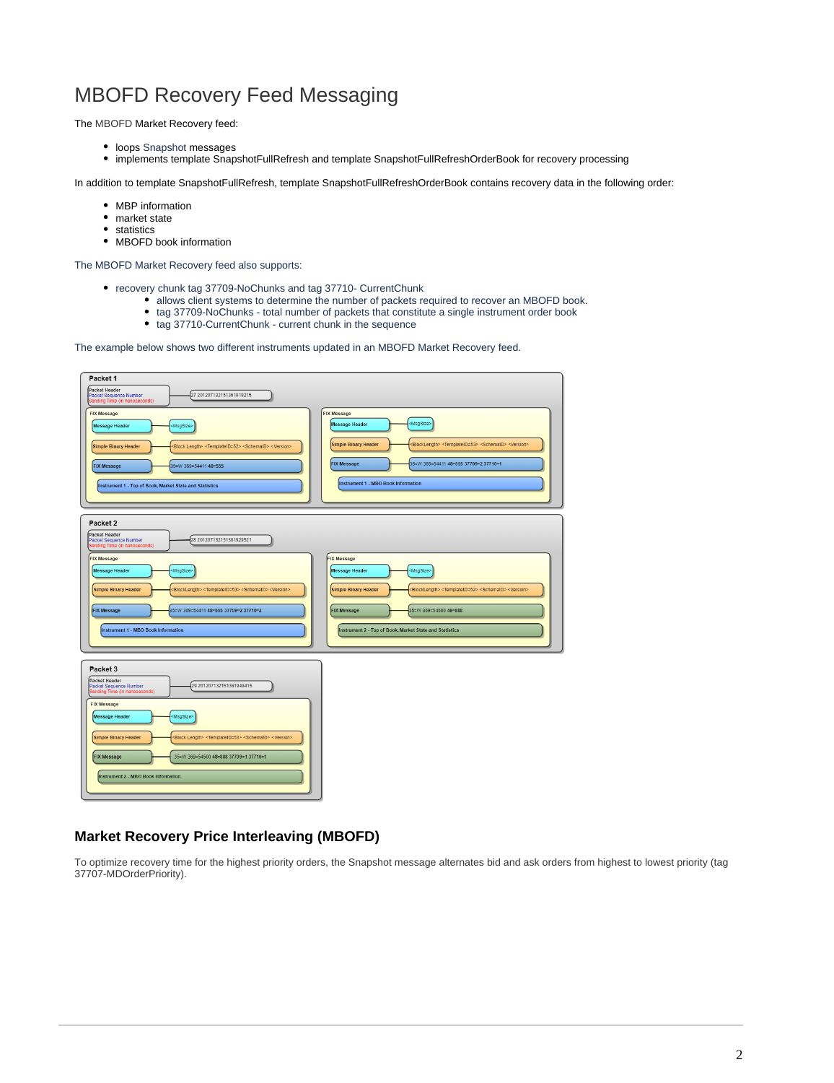

The MBOFD Market Recovery feed:

- loops Snapshot messages
- implements template SnapshotFullRefresh and template SnapshotFullRefreshOrderBook for recovery processing

In addition to template SnapshotFullRefresh, template SnapshotFullRefreshOrderBook contains recovery data in the following order:

- MBP information
- market state
- statistics

**CD** 

• MBOFD book information

The MBOFD Market Recovery feed also supports:

- recovery chunk tag 37709-NoChunks and tag 37710- CurrentChunk
	- allows client systems to determine the number of packets required to recover an MBOFD book.
	- tag 37709-NoChunks total number of packets that constitute a single instrument order book
		- tag 37710-CurrentChunk current chunk in the sequence

The example below shows two different instruments updated in an MBOFD Market Recovery feed.

| Packet 1                                                                                                                                                                                                                                                                                                   |                                                                                                                                                                                                                                                                                                                 |
|------------------------------------------------------------------------------------------------------------------------------------------------------------------------------------------------------------------------------------------------------------------------------------------------------------|-----------------------------------------------------------------------------------------------------------------------------------------------------------------------------------------------------------------------------------------------------------------------------------------------------------------|
| Packet Header<br>27 201207132151361919215<br>Packet Sequence Number<br>Sending Time (in nanoseconds)                                                                                                                                                                                                       |                                                                                                                                                                                                                                                                                                                 |
| <b>FIX Message</b><br><msgsize><br/>Message Header<br/>Simple Binary Header<br/><block length=""> <templateid=52> <schemaid> <version><br/><b>FIX Message</b><br/>35=W 369=54411 48=555<br/>Instrument 1 - Top of Book, Market State and Statistics</version></schemaid></templateid=52></block></msgsize> | <b>FIX Message</b><br><msgsize><br/>Message Header<br/><b>Simple Binary Header</b><br/><blocklength> <templateid=53> <schemaid> <version><br/><b>FIX Message</b><br/>35=W 369=54411 48=555 37709=2 37710=1<br/>Instrument 1 - MBO Book Information</version></schemaid></templateid=53></blocklength></msgsize> |
| Packet 2<br>Packet Header<br>28 201207132151361929521<br>Packet Sequence Number<br>Sending Time (in nanoseconds)                                                                                                                                                                                           |                                                                                                                                                                                                                                                                                                                 |
| <b>FIX Message</b><br><b>Message Header</b><br>MsgSize><br>Simple Binary Header<br><blocklength> <templateid=53> <schemaid> <version><br/><b>FIX Message</b><br/>35=W 369=54411 48=555 37709=2 37710=2<br/>Instrument 1 - MBO Book Information</version></schemaid></templateid=53></blocklength>          | <b>FIX Message</b><br>Message Header<br>MsgSize><br>Simple Binary Header<br><blocklength> <templateid=52> <schemaid> <version><br/><b>FIX Message</b><br/>35=W 369=54500 48-888<br/>Instrument 2 - Top of Book, Market State and Statistics</version></schemaid></templateid=52></blocklength>                  |
| Packet 3<br>Packet Header<br>,<br>29 201207132151361949415<br>Packet Sequence Number<br>Sending Time (in nanoseconds)                                                                                                                                                                                      |                                                                                                                                                                                                                                                                                                                 |
| <b>FIX Message</b><br>Message Header<br><msgsize><br/>Simple Binary Header<br/>Block Length&gt; <templateid=53> <schemaid> <version><br/><b>FIX Message</b><br/>35=W 369=54500 48=888 37709=1 37710=1<br/>Instrument 2 - MBO Book Information</version></schemaid></templateid=53></msgsize>               |                                                                                                                                                                                                                                                                                                                 |

#### <span id="page-1-0"></span>**Market Recovery Price Interleaving (MBOFD)**

To optimize recovery time for the highest priority orders, the Snapshot message alternates bid and ask orders from highest to lowest priority (tag 37707-MDOrderPriority).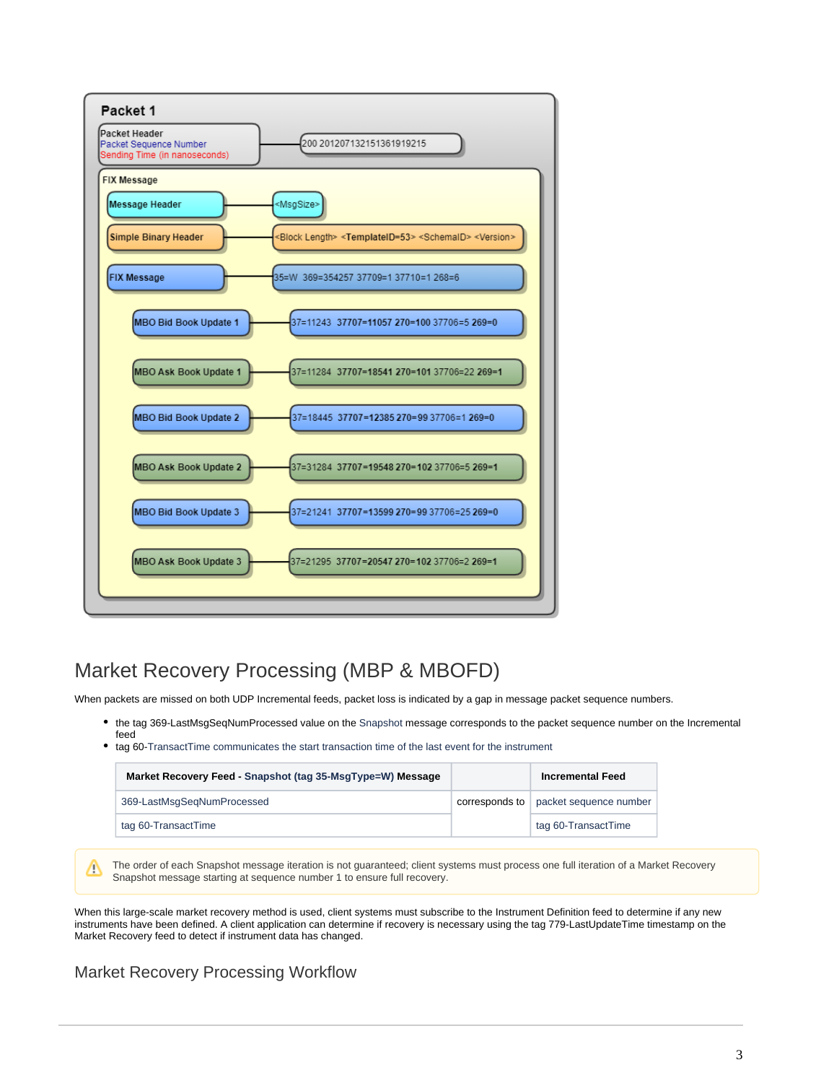

# <span id="page-2-0"></span>Market Recovery Processing (MBP & MBOFD)

When packets are missed on both UDP Incremental feeds, packet loss is indicated by a gap in message packet sequence numbers.

- the tag 369-LastMsgSeqNumProcessed value on the Snapshot message corresponds to the packet sequence number on the Incremental feed
- tag 60-TransactTime communicates the start transaction time of the last event for the instrument

| Market Recovery Feed - Snapshot (tag 35-MsgType=W) Message |                | <b>Incremental Feed</b> |
|------------------------------------------------------------|----------------|-------------------------|
| 369-LastMsgSegNumProcessed                                 | corresponds to | packet sequence number  |
| tag 60-TransactTime                                        |                | tag 60-TransactTime     |

The order of each Snapshot message iteration is not guaranteed; client systems must process one full iteration of a Market Recovery Λ Snapshot message starting at sequence number 1 to ensure full recovery.

When this large-scale market recovery method is used, client systems must subscribe to the Instrument Definition feed to determine if any new instruments have been defined. A client application can determine if recovery is necessary using the tag 779-LastUpdateTime timestamp on the Market Recovery feed to detect if instrument data has changed.

### <span id="page-2-1"></span>Market Recovery Processing Workflow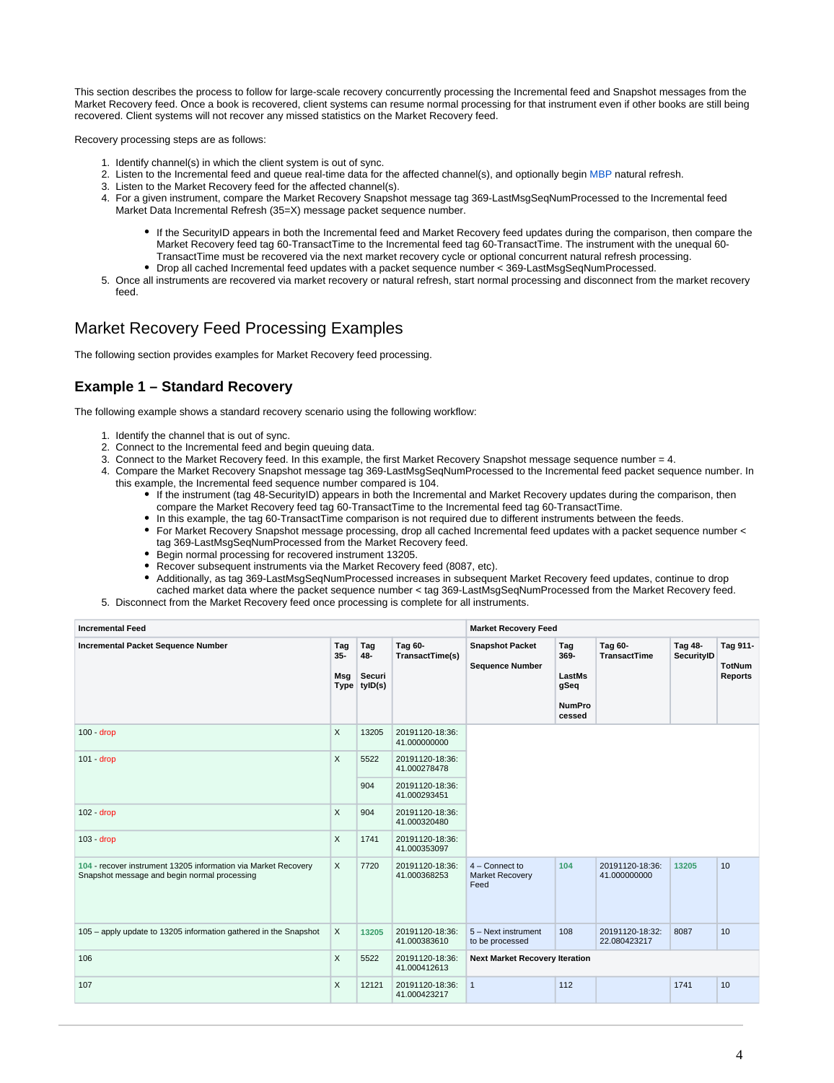This section describes the process to follow for large-scale recovery concurrently processing the Incremental feed and Snapshot messages from the Market Recovery feed. Once a book is recovered, client systems can resume normal processing for that instrument even if other books are still being recovered. Client systems will not recover any missed statistics on the Market Recovery feed.

Recovery processing steps are as follows:

- 1. Identify channel(s) in which the client system is out of sync.
- 2. Listen to the Incremental feed and queue real-time data for the affected channel(s), and optionally begin [MBP](https://www.cmegroup.com/confluence/display/EPICSANDBOX/MDP+3.0+-+Market+by+Price+-+Book+Recovery+Methods+for+Concurrent+Processing) natural refresh.
- 3. Listen to the Market Recovery feed for the affected channel(s).
- 4. For a given instrument, compare the Market Recovery Snapshot message tag 369-LastMsgSeqNumProcessed to the Incremental feed Market Data Incremental Refresh (35=X) message packet sequence number.
	- If the SecurityID appears in both the Incremental feed and Market Recovery feed updates during the comparison, then compare the Market Recovery feed tag 60-TransactTime to the Incremental feed tag 60-TransactTime. The instrument with the unequal 60- TransactTime must be recovered via the next market recovery cycle or optional concurrent natural refresh processing.
	- Drop all cached Incremental feed updates with a packet sequence number < 369-LastMsgSeqNumProcessed.
- 5. Once all instruments are recovered via market recovery or natural refresh, start normal processing and disconnect from the market recovery feed.

### <span id="page-3-0"></span>Market Recovery Feed Processing Examples

The following section provides examples for Market Recovery feed processing.

#### <span id="page-3-1"></span>**Example 1 – Standard Recovery**

The following example shows a standard recovery scenario using the following workflow:

- 1. Identify the channel that is out of sync.
- 2. Connect to the Incremental feed and begin queuing data.
- 3. Connect to the Market Recovery feed. In this example, the first Market Recovery Snapshot message sequence number = 4.
- 4. Compare the Market Recovery Snapshot message tag 369-LastMsgSeqNumProcessed to the Incremental feed packet sequence number. In this example, the Incremental feed sequence number compared is 104.
	- If the instrument (tag 48-SecurityID) appears in both the Incremental and Market Recovery updates during the comparison, then compare the Market Recovery feed tag 60-TransactTime to the Incremental feed tag 60-TransactTime.
	- In this example, the tag 60-TransactTime comparison is not required due to different instruments between the feeds.
	- For Market Recovery Snapshot message processing, drop all cached Incremental feed updates with a packet sequence number < tag 369-LastMsgSeqNumProcessed from the Market Recovery feed.
	- Begin normal processing for recovered instrument 13205.
	- Recover subsequent instruments via the Market Recovery feed (8087, etc).
	- Additionally, as tag 369-LastMsgSeqNumProcessed increases in subsequent Market Recovery feed updates, continue to drop cached market data where the packet sequence number < tag 369-LastMsgSeqNumProcessed from the Market Recovery feed.
- 5. Disconnect from the Market Recovery feed once processing is complete for all instruments.

| <b>Incremental Feed</b>                                                                                        | <b>Market Recovery Feed</b> |                                        |                                 |                                                  |                                                          |                                 |                       |                                             |
|----------------------------------------------------------------------------------------------------------------|-----------------------------|----------------------------------------|---------------------------------|--------------------------------------------------|----------------------------------------------------------|---------------------------------|-----------------------|---------------------------------------------|
| <b>Incremental Packet Sequence Number</b>                                                                      | Tag<br>$35-$<br>Msg         | Tag<br>48-<br>Securi<br>Type   tylD(s) | Tag 60-<br>TransactTime(s)      | <b>Snapshot Packet</b><br><b>Sequence Number</b> | Tag<br>369-<br>LastMs<br>gSeq<br><b>NumPro</b><br>cessed | Tag 60-<br><b>TransactTime</b>  | Tag 48-<br>SecurityID | Tag 911-<br><b>TotNum</b><br><b>Reports</b> |
| $100 - drop$                                                                                                   | X                           | 13205                                  | 20191120-18:36:<br>41.000000000 |                                                  |                                                          |                                 |                       |                                             |
| $101 - drop$                                                                                                   |                             | 5522                                   | 20191120-18:36:<br>41.000278478 |                                                  |                                                          |                                 |                       |                                             |
|                                                                                                                |                             | 904                                    | 20191120-18:36:<br>41.000293451 |                                                  |                                                          |                                 |                       |                                             |
| $102 - drop$                                                                                                   | X                           | 904                                    | 20191120-18:36:<br>41.000320480 |                                                  |                                                          |                                 |                       |                                             |
| $103 - drop$                                                                                                   | X                           | 1741                                   | 20191120-18:36:<br>41.000353097 |                                                  |                                                          |                                 |                       |                                             |
| 104 - recover instrument 13205 information via Market Recovery<br>Snapshot message and begin normal processing | X                           | 7720                                   | 20191120-18:36:<br>41.000368253 | $4 -$ Connect to<br>Market Recovery<br>Feed      | 104                                                      | 20191120-18:36:<br>41.000000000 | 13205                 | 10                                          |
| 105 - apply update to 13205 information gathered in the Snapshot                                               | $\times$                    | 13205                                  | 20191120-18:36:<br>41.000383610 | 5 - Next instrument<br>to be processed           | 108                                                      | 20191120-18:32:<br>22.080423217 | 8087                  | 10                                          |
| 106                                                                                                            | X                           | 5522                                   | 20191120-18:36:<br>41.000412613 | <b>Next Market Recovery Iteration</b>            |                                                          |                                 |                       |                                             |
| 107                                                                                                            | X                           | 12121                                  | 20191120-18:36:<br>41.000423217 | $\mathbf{1}$                                     | 112                                                      |                                 | 1741                  | 10 <sup>10</sup>                            |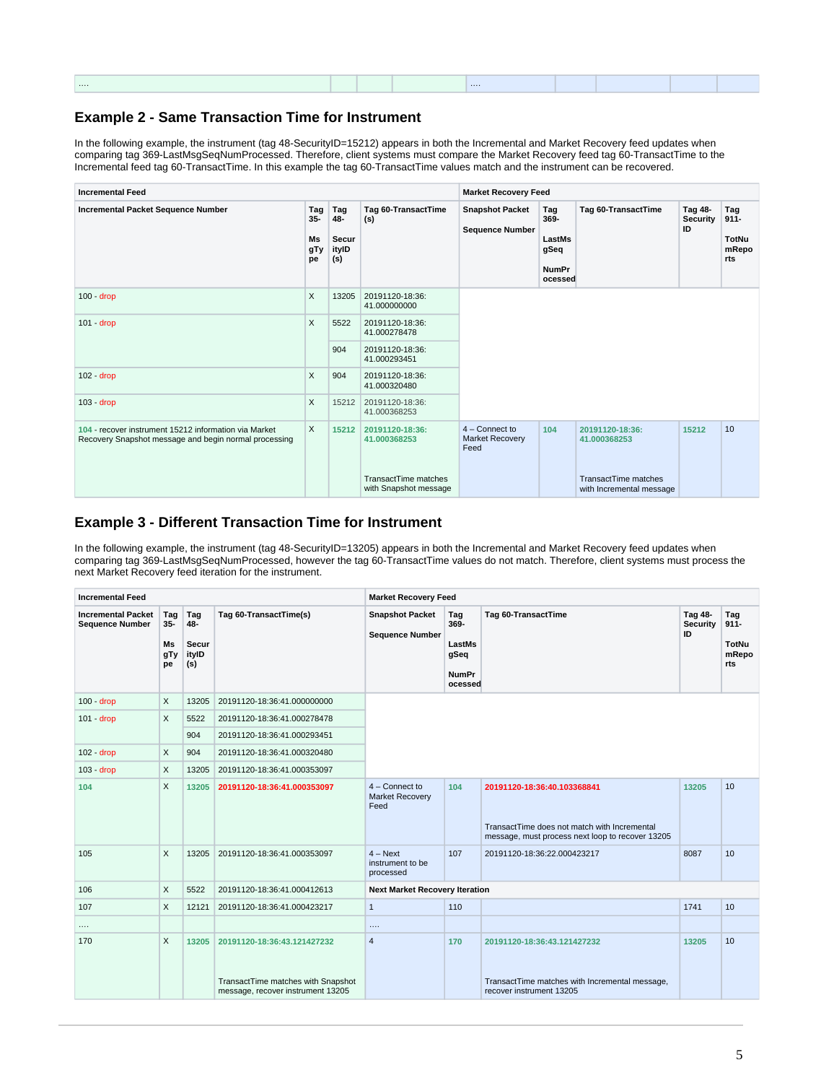|   |  | <b>CONTRACTOR</b> |  |  |
|---|--|-------------------|--|--|
| . |  |                   |  |  |
|   |  |                   |  |  |
|   |  |                   |  |  |

#### <span id="page-4-0"></span>**Example 2 - Same Transaction Time for Instrument**

In the following example, the instrument (tag 48-SecurityID=15212) appears in both the Incremental and Market Recovery feed updates when comparing tag 369-LastMsgSeqNumProcessed. Therefore, client systems must compare the Market Recovery feed tag 60-TransactTime to the Incremental feed tag 60-TransactTime. In this example the tag 60-TransactTime values match and the instrument can be recovered.

| <b>Incremental Feed</b>                                                                                        | <b>Market Recovery Feed</b> |                                     |                                                                                  |                                                  |                                                                                 |                                                                                     |                                  |                                         |
|----------------------------------------------------------------------------------------------------------------|-----------------------------|-------------------------------------|----------------------------------------------------------------------------------|--------------------------------------------------|---------------------------------------------------------------------------------|-------------------------------------------------------------------------------------|----------------------------------|-----------------------------------------|
| <b>Incremental Packet Sequence Number</b>                                                                      |                             | Tag<br>48-<br>Secur<br>ityID<br>(s) | Tag 60-TransactTime<br>(s)                                                       | <b>Snapshot Packet</b><br><b>Sequence Number</b> | Tag 60-TransactTime<br>Tag<br>369-<br>LastMs<br>gSeq<br><b>NumPr</b><br>ocessed |                                                                                     | Tag 48-<br><b>Security</b><br>ID | Tag<br>$911 -$<br>TotNu<br>mRepo<br>rts |
| $100 - drop$                                                                                                   | X                           | 13205                               | 20191120-18:36:<br>41.000000000                                                  |                                                  |                                                                                 |                                                                                     |                                  |                                         |
| $101 - drop$                                                                                                   |                             | 5522                                | 20191120-18:36:<br>41.000278478                                                  |                                                  |                                                                                 |                                                                                     |                                  |                                         |
|                                                                                                                |                             | 904                                 | 20191120-18:36:<br>41.000293451                                                  |                                                  |                                                                                 |                                                                                     |                                  |                                         |
| $102 - drop$                                                                                                   | X                           | 904                                 | 20191120-18:36:<br>41.000320480                                                  |                                                  |                                                                                 |                                                                                     |                                  |                                         |
| $103 - drop$                                                                                                   | X                           | 15212                               | 20191120-18:36:<br>41.000368253                                                  |                                                  |                                                                                 |                                                                                     |                                  |                                         |
| 104 - recover instrument 15212 information via Market<br>Recovery Snapshot message and begin normal processing | X                           | 15212                               | 20191120-18:36:<br>41.000368253<br>TransactTime matches<br>with Snapshot message | $4 -$ Connect to<br>Market Recovery<br>Feed      | 104                                                                             | 20191120-18:36:<br>41.000368253<br>TransactTime matches<br>with Incremental message | 15212                            | 10 <sup>10</sup>                        |

#### <span id="page-4-1"></span>**Example 3 - Different Transaction Time for Instrument**

In the following example, the instrument (tag 48-SecurityID=13205) appears in both the Incremental and Market Recovery feed updates when comparing tag 369-LastMsgSeqNumProcessed, however the tag 60-TransactTime values do not match. Therefore, client systems must process the next Market Recovery feed iteration for the instrument.

<span id="page-4-2"></span>

| <b>Incremental Feed</b>                             |                                  |                                     |                                                                                                        | <b>Market Recovery Feed</b>                      |                                                          |                                                                                                                                 |                           |                                                |  |  |
|-----------------------------------------------------|----------------------------------|-------------------------------------|--------------------------------------------------------------------------------------------------------|--------------------------------------------------|----------------------------------------------------------|---------------------------------------------------------------------------------------------------------------------------------|---------------------------|------------------------------------------------|--|--|
| <b>Incremental Packet</b><br><b>Sequence Number</b> | Tag<br>$35 -$<br>Ms<br>gTy<br>pe | Tag<br>48-<br>Secur<br>ityID<br>(s) | Tag 60-TransactTime(s)                                                                                 | <b>Snapshot Packet</b><br><b>Sequence Number</b> | Tag<br>369-<br>LastMs<br>gSeq<br><b>NumPr</b><br>ocessed | Tag 60-TransactTime                                                                                                             | Tag 48-<br>Security<br>ID | Tag<br>$911 -$<br><b>TotNu</b><br>mRepo<br>rts |  |  |
| $100 - drop$                                        | X                                | 13205                               | 20191120-18:36:41.000000000                                                                            |                                                  |                                                          |                                                                                                                                 |                           |                                                |  |  |
| $101 - drop$                                        | X                                | 5522                                | 20191120-18:36:41.000278478                                                                            |                                                  |                                                          |                                                                                                                                 |                           |                                                |  |  |
|                                                     |                                  | 904                                 | 20191120-18:36:41.000293451                                                                            |                                                  |                                                          |                                                                                                                                 |                           |                                                |  |  |
| 102 - drop                                          | X                                | 904                                 | 20191120-18:36:41.000320480                                                                            |                                                  |                                                          |                                                                                                                                 |                           |                                                |  |  |
| $103 - drop$                                        | X                                | 13205                               | 20191120-18:36:41.000353097                                                                            |                                                  |                                                          |                                                                                                                                 |                           |                                                |  |  |
| 104                                                 | X                                | 13205                               | 20191120-18:36:41.000353097                                                                            | 4 - Connect to<br>Market Recovery<br>Feed        | 104                                                      | 20191120-18:36:40.103368841<br>TransactTime does not match with Incremental<br>message, must process next loop to recover 13205 | 13205                     | 10                                             |  |  |
| 105                                                 | X                                | 13205                               | 20191120-18:36:41.000353097                                                                            | $4 - Next$<br>instrument to be<br>processed      | 107                                                      | 20191120-18:36:22.000423217                                                                                                     | 8087                      | 10                                             |  |  |
| 106                                                 | X                                | 5522                                | 20191120-18:36:41.000412613                                                                            | <b>Next Market Recovery Iteration</b>            |                                                          |                                                                                                                                 |                           |                                                |  |  |
| 107                                                 | X                                | 12121                               | 20191120-18:36:41.000423217                                                                            | $\mathbf{1}$                                     | 110                                                      |                                                                                                                                 | 1741                      | 10                                             |  |  |
| $\cdots$                                            |                                  |                                     |                                                                                                        | $\cdots$                                         |                                                          |                                                                                                                                 |                           |                                                |  |  |
| 170                                                 | X                                | 13205                               | 20191120-18:36:43.121427232<br>TransactTime matches with Snapshot<br>message, recover instrument 13205 | $\overline{4}$                                   | 170                                                      | 20191120-18:36:43.121427232<br>TransactTime matches with Incremental message,<br>recover instrument 13205                       | 13205                     | 10                                             |  |  |